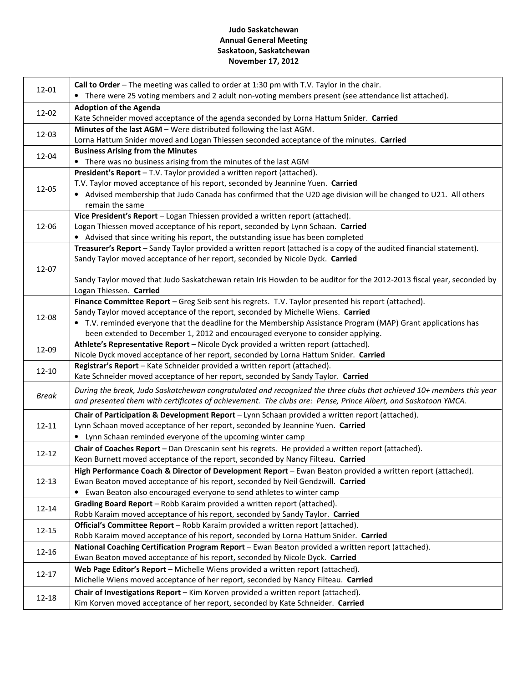# Judo Saskatchewan Annual General Meeting Saskatoon, Saskatchewan November 17, 2012

| 12-01        | Call to Order - The meeting was called to order at 1:30 pm with T.V. Taylor in the chair.<br>• There were 25 voting members and 2 adult non-voting members present (see attendance list attached).    |
|--------------|-------------------------------------------------------------------------------------------------------------------------------------------------------------------------------------------------------|
|              | <b>Adoption of the Agenda</b>                                                                                                                                                                         |
| 12-02        | Kate Schneider moved acceptance of the agenda seconded by Lorna Hattum Snider. Carried                                                                                                                |
| 12-03        | Minutes of the last AGM - Were distributed following the last AGM.                                                                                                                                    |
|              | Lorna Hattum Snider moved and Logan Thiessen seconded acceptance of the minutes. Carried                                                                                                              |
| 12-04        | <b>Business Arising from the Minutes</b>                                                                                                                                                              |
|              | • There was no business arising from the minutes of the last AGM                                                                                                                                      |
|              | President's Report - T.V. Taylor provided a written report (attached).                                                                                                                                |
| 12-05        | T.V. Taylor moved acceptance of his report, seconded by Jeannine Yuen. Carried                                                                                                                        |
|              | • Advised membership that Judo Canada has confirmed that the U20 age division will be changed to U21. All others                                                                                      |
|              | remain the same                                                                                                                                                                                       |
|              | Vice President's Report - Logan Thiessen provided a written report (attached).                                                                                                                        |
| 12-06        | Logan Thiessen moved acceptance of his report, seconded by Lynn Schaan. Carried                                                                                                                       |
|              | • Advised that since writing his report, the outstanding issue has been completed                                                                                                                     |
|              | Treasurer's Report - Sandy Taylor provided a written report (attached is a copy of the audited financial statement).<br>Sandy Taylor moved acceptance of her report, seconded by Nicole Dyck. Carried |
| 12-07        |                                                                                                                                                                                                       |
|              | Sandy Taylor moved that Judo Saskatchewan retain Iris Howden to be auditor for the 2012-2013 fiscal year, seconded by                                                                                 |
|              | Logan Thiessen. Carried                                                                                                                                                                               |
|              | Finance Committee Report - Greg Seib sent his regrets. T.V. Taylor presented his report (attached).                                                                                                   |
|              | Sandy Taylor moved acceptance of the report, seconded by Michelle Wiens. Carried                                                                                                                      |
| 12-08        | • T.V. reminded everyone that the deadline for the Membership Assistance Program (MAP) Grant applications has                                                                                         |
|              | been extended to December 1, 2012 and encouraged everyone to consider applying.                                                                                                                       |
| 12-09        | Athlete's Representative Report - Nicole Dyck provided a written report (attached).                                                                                                                   |
|              | Nicole Dyck moved acceptance of her report, seconded by Lorna Hattum Snider. Carried                                                                                                                  |
| $12 - 10$    | Registrar's Report - Kate Schneider provided a written report (attached).                                                                                                                             |
|              | Kate Schneider moved acceptance of her report, seconded by Sandy Taylor. Carried                                                                                                                      |
| <b>Break</b> | During the break, Judo Saskatchewan congratulated and recognized the three clubs that achieved 10+ members this year                                                                                  |
|              | and presented them with certificates of achievement. The clubs are: Pense, Prince Albert, and Saskatoon YMCA.                                                                                         |
|              | Chair of Participation & Development Report - Lynn Schaan provided a written report (attached).                                                                                                       |
| $12 - 11$    | Lynn Schaan moved acceptance of her report, seconded by Jeannine Yuen. Carried                                                                                                                        |
|              | • Lynn Schaan reminded everyone of the upcoming winter camp                                                                                                                                           |
| $12 - 12$    | Chair of Coaches Report - Dan Orescanin sent his regrets. He provided a written report (attached).                                                                                                    |
|              | Keon Burnett moved acceptance of the report, seconded by Nancy Filteau. Carried                                                                                                                       |
|              | High Performance Coach & Director of Development Report - Ewan Beaton provided a written report (attached).                                                                                           |
| $12 - 13$    | Ewan Beaton moved acceptance of his report, seconded by Neil Gendzwill. Carried                                                                                                                       |
|              | Ewan Beaton also encouraged everyone to send athletes to winter camp                                                                                                                                  |
| 12-14        | Grading Board Report - Robb Karaim provided a written report (attached).                                                                                                                              |
|              | Robb Karaim moved acceptance of his report, seconded by Sandy Taylor. Carried                                                                                                                         |
| 12-15        | Official's Committee Report - Robb Karaim provided a written report (attached).                                                                                                                       |
|              | Robb Karaim moved acceptance of his report, seconded by Lorna Hattum Snider. Carried                                                                                                                  |
| 12-16        | National Coaching Certification Program Report - Ewan Beaton provided a written report (attached).<br>Ewan Beaton moved acceptance of his report, seconded by Nicole Dyck. Carried                    |
|              | Web Page Editor's Report - Michelle Wiens provided a written report (attached).                                                                                                                       |
| 12-17        | Michelle Wiens moved acceptance of her report, seconded by Nancy Filteau. Carried                                                                                                                     |
|              |                                                                                                                                                                                                       |
| 12-18        | Chair of Investigations Report - Kim Korven provided a written report (attached).                                                                                                                     |
|              | Kim Korven moved acceptance of her report, seconded by Kate Schneider. Carried                                                                                                                        |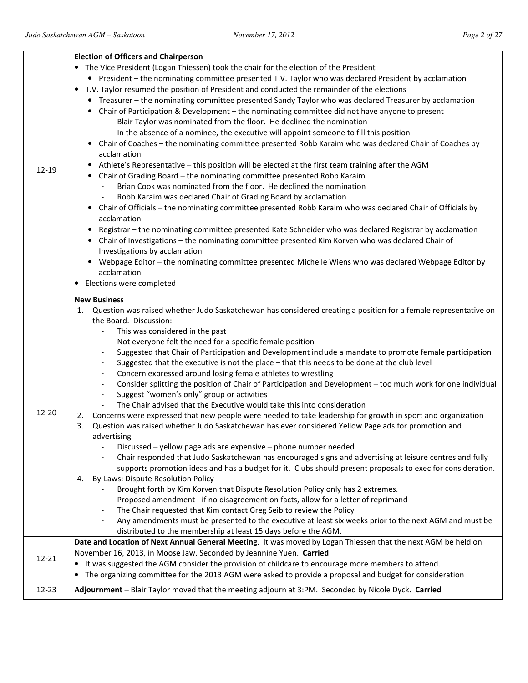|           | <b>Election of Officers and Chairperson</b>                                                                                              |
|-----------|------------------------------------------------------------------------------------------------------------------------------------------|
|           | • The Vice President (Logan Thiessen) took the chair for the election of the President                                                   |
|           | • President – the nominating committee presented T.V. Taylor who was declared President by acclamation                                   |
|           | • T.V. Taylor resumed the position of President and conducted the remainder of the elections                                             |
|           | • Treasurer - the nominating committee presented Sandy Taylor who was declared Treasurer by acclamation                                  |
|           | Chair of Participation & Development - the nominating committee did not have anyone to present                                           |
|           | Blair Taylor was nominated from the floor. He declined the nomination                                                                    |
|           | In the absence of a nominee, the executive will appoint someone to fill this position                                                    |
|           | Chair of Coaches - the nominating committee presented Robb Karaim who was declared Chair of Coaches by<br>acclamation                    |
|           | Athlete's Representative - this position will be elected at the first team training after the AGM<br>٠                                   |
| $12 - 19$ | Chair of Grading Board - the nominating committee presented Robb Karaim                                                                  |
|           | Brian Cook was nominated from the floor. He declined the nomination                                                                      |
|           |                                                                                                                                          |
|           | Robb Karaim was declared Chair of Grading Board by acclamation                                                                           |
|           | Chair of Officials - the nominating committee presented Robb Karaim who was declared Chair of Officials by<br>٠<br>acclamation           |
|           | Registrar - the nominating committee presented Kate Schneider who was declared Registrar by acclamation<br>$\bullet$                     |
|           | Chair of Investigations - the nominating committee presented Kim Korven who was declared Chair of<br>$\bullet$                           |
|           | Investigations by acclamation                                                                                                            |
|           | Webpage Editor - the nominating committee presented Michelle Wiens who was declared Webpage Editor by<br>$\bullet$                       |
|           | acclamation                                                                                                                              |
|           | Elections were completed                                                                                                                 |
|           |                                                                                                                                          |
|           | <b>New Business</b>                                                                                                                      |
|           | Question was raised whether Judo Saskatchewan has considered creating a position for a female representative on<br>1.                    |
|           | the Board. Discussion:                                                                                                                   |
|           | This was considered in the past                                                                                                          |
|           | Not everyone felt the need for a specific female position                                                                                |
|           | Suggested that Chair of Participation and Development include a mandate to promote female participation<br>$\overline{\phantom{a}}$      |
|           | Suggested that the executive is not the place - that this needs to be done at the club level<br>$\blacksquare$                           |
|           | Concern expressed around losing female athletes to wrestling<br>$\blacksquare$                                                           |
|           | Consider splitting the position of Chair of Participation and Development - too much work for one individual<br>$\overline{\phantom{a}}$ |
|           | Suggest "women's only" group or activities<br>$\overline{\phantom{a}}$                                                                   |
|           | The Chair advised that the Executive would take this into consideration                                                                  |
| 12-20     | Concerns were expressed that new people were needed to take leadership for growth in sport and organization<br>2.                        |
|           | Question was raised whether Judo Saskatchewan has ever considered Yellow Page ads for promotion and<br>3.                                |
|           | advertising                                                                                                                              |
|           | Discussed - yellow page ads are expensive - phone number needed                                                                          |
|           | Chair responded that Judo Saskatchewan has encouraged signs and advertising at leisure centres and fully                                 |
|           | supports promotion ideas and has a budget for it. Clubs should present proposals to exec for consideration.                              |
|           | <b>By-Laws: Dispute Resolution Policy</b><br>4.                                                                                          |
|           | Brought forth by Kim Korven that Dispute Resolution Policy only has 2 extremes.                                                          |
|           | Proposed amendment - if no disagreement on facts, allow for a letter of reprimand                                                        |
|           | The Chair requested that Kim contact Greg Seib to review the Policy                                                                      |
|           | Any amendments must be presented to the executive at least six weeks prior to the next AGM and must be                                   |
|           | distributed to the membership at least 15 days before the AGM.                                                                           |
|           | Date and Location of Next Annual General Meeting. It was moved by Logan Thiessen that the next AGM be held on                            |
| 12-21     | November 16, 2013, in Moose Jaw. Seconded by Jeannine Yuen. Carried                                                                      |
|           | It was suggested the AGM consider the provision of childcare to encourage more members to attend.                                        |
|           | The organizing committee for the 2013 AGM were asked to provide a proposal and budget for consideration<br>$\bullet$                     |
| 12-23     | Adjournment - Blair Taylor moved that the meeting adjourn at 3:PM. Seconded by Nicole Dyck. Carried                                      |
|           |                                                                                                                                          |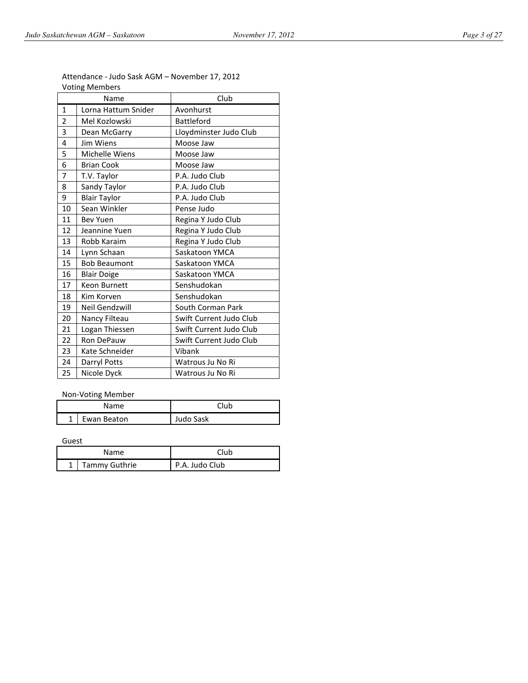| Name           |                     | Club                    |  |  |  |
|----------------|---------------------|-------------------------|--|--|--|
| $\mathbf{1}$   | Lorna Hattum Snider | Avonhurst               |  |  |  |
| $\overline{2}$ | Mel Kozlowski       | Battleford              |  |  |  |
| 3              | Dean McGarry        | Lloydminster Judo Club  |  |  |  |
| 4              | Jim Wiens           | Moose Jaw               |  |  |  |
| 5              | Michelle Wiens      | Moose Jaw               |  |  |  |
| 6              | <b>Brian Cook</b>   | Moose Jaw               |  |  |  |
| $\overline{7}$ | T.V. Taylor         | P.A. Judo Club          |  |  |  |
| 8              | Sandy Taylor        | P.A. Judo Club          |  |  |  |
| 9              | <b>Blair Taylor</b> | P.A. Judo Club          |  |  |  |
| 10             | Sean Winkler        | Pense Judo              |  |  |  |
| 11             | <b>Bev Yuen</b>     | Regina Y Judo Club      |  |  |  |
| 12             | Jeannine Yuen       | Regina Y Judo Club      |  |  |  |
| 13             | Robb Karaim         | Regina Y Judo Club      |  |  |  |
| 14             | Lynn Schaan         | Saskatoon YMCA          |  |  |  |
| 15             | <b>Bob Beaumont</b> | Saskatoon YMCA          |  |  |  |
| 16             | <b>Blair Doige</b>  | Saskatoon YMCA          |  |  |  |
| 17             | <b>Keon Burnett</b> | Senshudokan             |  |  |  |
| 18             | Kim Korven          | Senshudokan             |  |  |  |
| 19             | Neil Gendzwill      | South Corman Park       |  |  |  |
| 20             | Nancy Filteau       | Swift Current Judo Club |  |  |  |
| 21             | Logan Thiessen      | Swift Current Judo Club |  |  |  |
| 22             | Ron DePauw          | Swift Current Judo Club |  |  |  |
| 23             | Kate Schneider      | Vibank                  |  |  |  |
| 24             | Darryl Potts        | Watrous Ju No Ri        |  |  |  |
| 25             | Nicole Dyck         | Watrous Ju No Ri        |  |  |  |

# Attendance - Judo Sask AGM – November 17, 2012 Voting Members

# Non-Voting Member

| Name. |             | Club      |
|-------|-------------|-----------|
|       | Ewan Beaton | Judo Sask |

Guest

| <b>Name</b> |                 | Club           |
|-------------|-----------------|----------------|
|             | 1 Tammy Guthrie | P.A. Judo Club |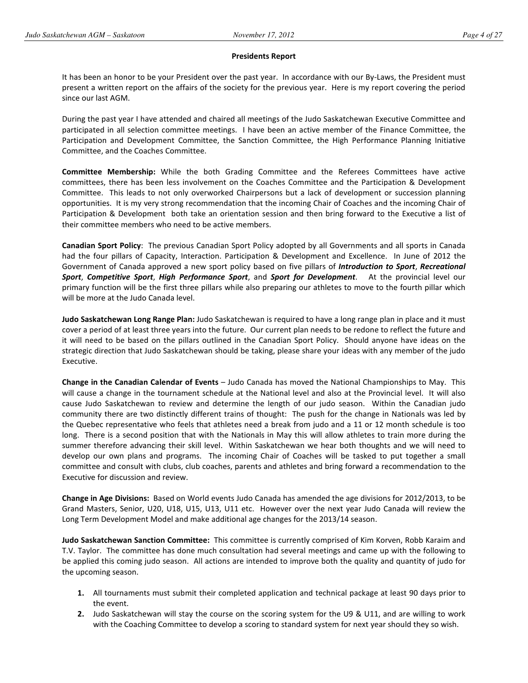# Presidents Report

It has been an honor to be your President over the past year. In accordance with our By-Laws, the President must present a written report on the affairs of the society for the previous year. Here is my report covering the period since our last AGM.

During the past year I have attended and chaired all meetings of the Judo Saskatchewan Executive Committee and participated in all selection committee meetings. I have been an active member of the Finance Committee, the Participation and Development Committee, the Sanction Committee, the High Performance Planning Initiative Committee, and the Coaches Committee.

Committee Membership: While the both Grading Committee and the Referees Committees have active committees, there has been less involvement on the Coaches Committee and the Participation & Development Committee. This leads to not only overworked Chairpersons but a lack of development or succession planning opportunities. It is my very strong recommendation that the incoming Chair of Coaches and the incoming Chair of Participation & Development both take an orientation session and then bring forward to the Executive a list of their committee members who need to be active members.

Canadian Sport Policy: The previous Canadian Sport Policy adopted by all Governments and all sports in Canada had the four pillars of Capacity, Interaction. Participation & Development and Excellence. In June of 2012 the Government of Canada approved a new sport policy based on five pillars of *Introduction to Sport*, Recreational Sport, Competitive Sport, High Performance Sport, and Sport for Development. At the provincial level our primary function will be the first three pillars while also preparing our athletes to move to the fourth pillar which will be more at the Judo Canada level.

Judo Saskatchewan Long Range Plan: Judo Saskatchewan is required to have a long range plan in place and it must cover a period of at least three years into the future. Our current plan needs to be redone to reflect the future and it will need to be based on the pillars outlined in the Canadian Sport Policy. Should anyone have ideas on the strategic direction that Judo Saskatchewan should be taking, please share your ideas with any member of the judo Executive.

Change in the Canadian Calendar of Events – Judo Canada has moved the National Championships to May. This will cause a change in the tournament schedule at the National level and also at the Provincial level. It will also cause Judo Saskatchewan to review and determine the length of our judo season. Within the Canadian judo community there are two distinctly different trains of thought: The push for the change in Nationals was led by the Quebec representative who feels that athletes need a break from judo and a 11 or 12 month schedule is too long. There is a second position that with the Nationals in May this will allow athletes to train more during the summer therefore advancing their skill level. Within Saskatchewan we hear both thoughts and we will need to develop our own plans and programs. The incoming Chair of Coaches will be tasked to put together a small committee and consult with clubs, club coaches, parents and athletes and bring forward a recommendation to the Executive for discussion and review.

Change in Age Divisions: Based on World events Judo Canada has amended the age divisions for 2012/2013, to be Grand Masters, Senior, U20, U18, U15, U13, U11 etc. However over the next year Judo Canada will review the Long Term Development Model and make additional age changes for the 2013/14 season.

Judo Saskatchewan Sanction Committee: This committee is currently comprised of Kim Korven, Robb Karaim and T.V. Taylor. The committee has done much consultation had several meetings and came up with the following to be applied this coming judo season. All actions are intended to improve both the quality and quantity of judo for the upcoming season.

- 1. All tournaments must submit their completed application and technical package at least 90 days prior to the event.
- 2. Judo Saskatchewan will stay the course on the scoring system for the U9 & U11, and are willing to work with the Coaching Committee to develop a scoring to standard system for next year should they so wish.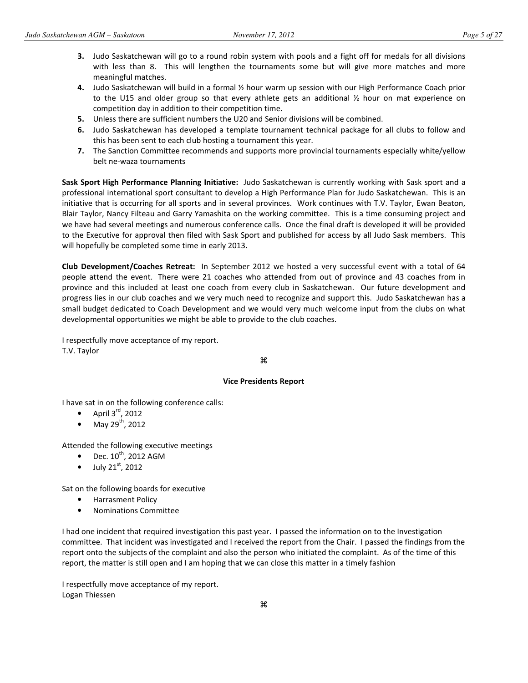- 3. Judo Saskatchewan will go to a round robin system with pools and a fight off for medals for all divisions with less than 8. This will lengthen the tournaments some but will give more matches and more meaningful matches.
- 4. Judo Saskatchewan will build in a formal ½ hour warm up session with our High Performance Coach prior to the U15 and older group so that every athlete gets an additional  $\frac{1}{2}$  hour on mat experience on competition day in addition to their competition time.
- 5. Unless there are sufficient numbers the U20 and Senior divisions will be combined.
- 6. Judo Saskatchewan has developed a template tournament technical package for all clubs to follow and this has been sent to each club hosting a tournament this year.
- 7. The Sanction Committee recommends and supports more provincial tournaments especially white/yellow belt ne-waza tournaments

Sask Sport High Performance Planning Initiative: Judo Saskatchewan is currently working with Sask sport and a professional international sport consultant to develop a High Performance Plan for Judo Saskatchewan. This is an initiative that is occurring for all sports and in several provinces. Work continues with T.V. Taylor, Ewan Beaton, Blair Taylor, Nancy Filteau and Garry Yamashita on the working committee. This is a time consuming project and we have had several meetings and numerous conference calls. Once the final draft is developed it will be provided to the Executive for approval then filed with Sask Sport and published for access by all Judo Sask members. This will hopefully be completed some time in early 2013.

Club Development/Coaches Retreat: In September 2012 we hosted a very successful event with a total of 64 people attend the event. There were 21 coaches who attended from out of province and 43 coaches from in province and this included at least one coach from every club in Saskatchewan. Our future development and progress lies in our club coaches and we very much need to recognize and support this. Judo Saskatchewan has a small budget dedicated to Coach Development and we would very much welcome input from the clubs on what developmental opportunities we might be able to provide to the club coaches.

I respectfully move acceptance of my report. T.V. Taylor

æ

# Vice Presidents Report

I have sat in on the following conference calls:

- April  $3^{\text{rd}}$ , 2012
- May 29<sup>th</sup>, 2012

Attended the following executive meetings

- Dec.  $10^{th}$ , 2012 AGM
- July  $21^{st}$ , 2012

Sat on the following boards for executive

- Harrasment Policy
- Nominations Committee

I had one incident that required investigation this past year. I passed the information on to the Investigation committee. That incident was investigated and I received the report from the Chair. I passed the findings from the report onto the subjects of the complaint and also the person who initiated the complaint. As of the time of this report, the matter is still open and I am hoping that we can close this matter in a timely fashion

I respectfully move acceptance of my report. Logan Thiessen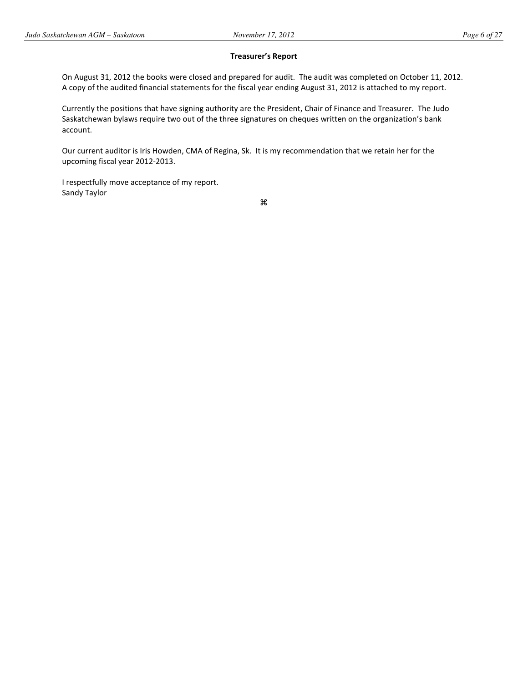# Treasurer's Report

On August 31, 2012 the books were closed and prepared for audit. The audit was completed on October 11, 2012. A copy of the audited financial statements for the fiscal year ending August 31, 2012 is attached to my report.

Currently the positions that have signing authority are the President, Chair of Finance and Treasurer. The Judo Saskatchewan bylaws require two out of the three signatures on cheques written on the organization's bank account.

Our current auditor is Iris Howden, CMA of Regina, Sk. It is my recommendation that we retain her for the upcoming fiscal year 2012-2013.

I respectfully move acceptance of my report. Sandy Taylor

æ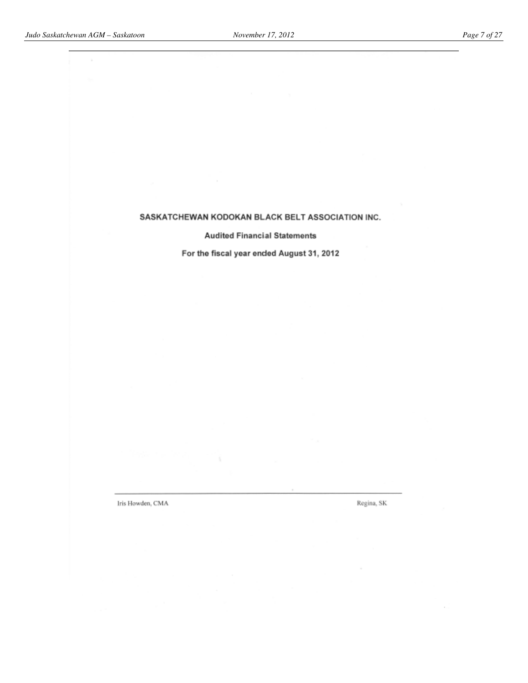$\lambda$ 

# SASKATCHEWAN KODOKAN BLACK BELT ASSOCIATION INC.

**Audited Financial Statements** 

For the fiscal year ended August 31, 2012

Iris Howden, CMA

Regina, SK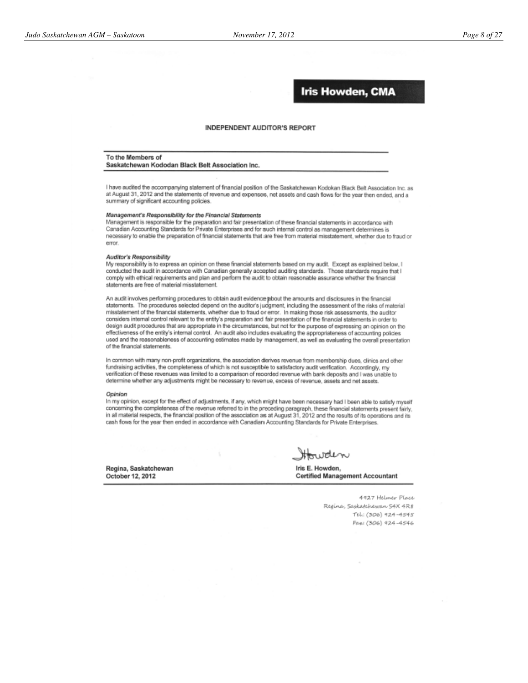# **Iris Howden, CMA**

## **INDEPENDENT AUDITOR'S REPORT**

#### To the Members of

### Saskatchewan Kododan Black Belt Association Inc.

I have audited the accompanying statement of financial position of the Saskatchewan Kodokan Black Belt Association Inc. as at August 31, 2012 and the statements of revenue and expenses, net assets and cash flows for the year then ended, and a summary of significant accounting policies.

# Management's Responsibility for the Financial Statements

Management is responsible for the preparation and fair presentation of these financial statements in accordance with Canadian Accounting Standards for Private Enterprises and for such internal control as management determines is necessary to enable the preparation of financial statements that are free from material misstatement, whether due to fraud or error.

### Auditor's Responsibility

My responsibility is to express an opinion on these financial statements based on my audit. Except as explained below, I conducted the audit in accordance with Canadian generally accepted auditing standards. Those standards require that I comply with ethical requirements and plan and perform the audit to obtain reasonable assurance whether the financial statements are free of material misstatement.

An audit involves performing procedures to obtain audit evidence about the amounts and disclosures in the financial statements. The procedures selected depend on the auditor's judgment, including the assessment of the risks of material misstatement of the financial statements, whether due to fraud or error. In making those risk assessments, the auditor considers internal control relevant to the entity's preparation and fair presentation of the financial statements in order to design audit procedures that are appropriate in the circumstances, but not for the purpose of expressing an opinion on the effectiveness of the entity's internal control. An audit also includes evaluating the appropriateness of accounting policies used and the reasonableness of accounting estimates made by management, as well as evaluating the overall presentation of the financial statements.

In common with many non-profit organizations, the association derives revenue from membership dues, clinics and other fundraising activities, the completeness of which is not susceptible to satisfactory audit verification. Accordingly, my verification of these revenues was limited to a comparison of recorded revenue with bank deposits and I was unable to determine whether any adjustments might be necessary to revenue, excess of revenue, assets and net assets.

### Opinion

In my opinion, except for the effect of adjustments, if any, which might have been necessary had I been able to satisfy myself concerning the completeness of the revenue referred to in the preceding paragraph, these financial statements present fairly, in all material respects, the financial position of the association as at August 31, 2012 and the results of its operations and its cash flows for the year then ended in accordance with Canadian Accounting Standards for Private Enterprises.

Regina, Saskatchewan October 12, 2012

moden

Iris E. Howden. **Certified Management Accountant** 

> 4927 Helmer Place Regina, Saskatchewan S4X 4R8 Tel.: (306) 924-4545 Fax: (306) 924-4546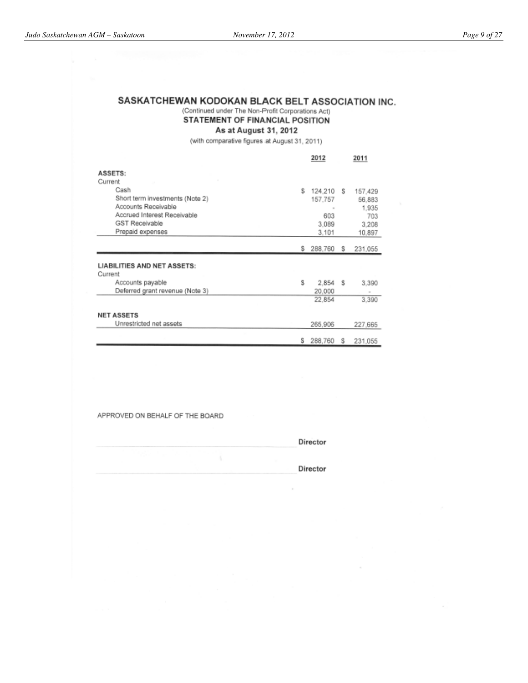# SASKATCHEWAN KODOKAN BLACK BELT ASSOCIATION INC. (Continued under The Non-Profit Corporations Act)

STATEMENT OF FINANCIAL POSITION

As at August 31, 2012

(with comparative figures at August 31, 2011)

|                                    |    | 2012       |   | 2011    |
|------------------------------------|----|------------|---|---------|
| ASSETS:                            |    |            |   |         |
| Current                            |    |            |   |         |
| Cash                               | Ŝ. | 124,210 S  |   | 157,429 |
| Short term investments (Note 2)    |    | 157.757    |   | 56,883  |
| Accounts Receivable                |    |            |   | 1,935   |
| Accrued Interest Receivable        |    | 603        |   | 703     |
| <b>GST Receivable</b>              |    | 3.089      |   | 3,208   |
| Prepaid expenses                   |    | 3,101      |   | 10,897  |
|                                    |    |            |   |         |
|                                    | s. | 288,760 \$ |   | 231,055 |
|                                    |    |            |   |         |
| <b>LIABILITIES AND NET ASSETS:</b> |    |            |   |         |
| Current                            |    |            |   |         |
| Accounts payable                   | s  | $2,854$ \$ |   | 3,390   |
| Deferred grant revenue (Note 3)    |    | 20,000     |   |         |
|                                    |    | 22.854     |   | 3,390   |
|                                    |    |            |   |         |
| <b>NET ASSETS</b>                  |    |            |   |         |
| Unrestricted net assets            |    | 265.906    |   | 227,665 |
|                                    |    |            |   |         |
|                                    | s  | 288,760    | s | 231,055 |

APPROVED ON BEHALF OF THE BOARD

Director

Director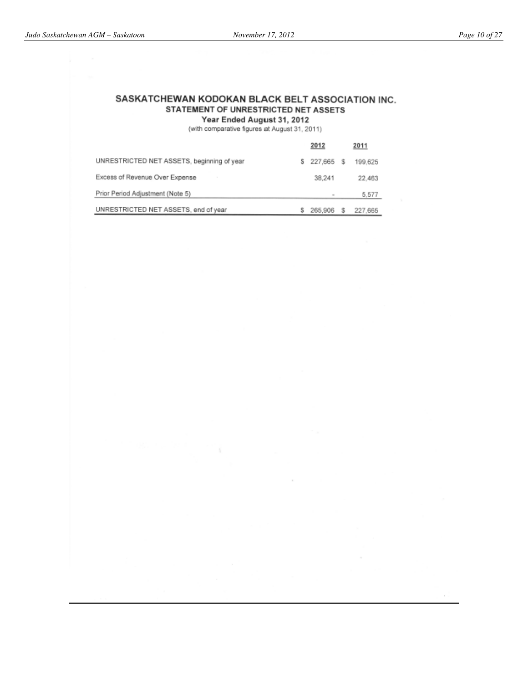# SASKATCHEWAN KODOKAN BLACK BELT ASSOCIATION INC. STATEMENT OF UNRESTRICTED NET ASSETS

Year Ended August 31, 2012

(with comparative figures at August 31, 2011)

|                                            | 2012          | 2011    |
|--------------------------------------------|---------------|---------|
| UNRESTRICTED NET ASSETS, beginning of year | \$ 227,665 \$ | 199,625 |
| Excess of Revenue Over Expense             | 38.241        | 22.463  |
| Prior Period Adjustment (Note 5)           |               | 5.577   |
| UNRESTRICTED NET ASSETS, end of year       | 265,906       | 227.665 |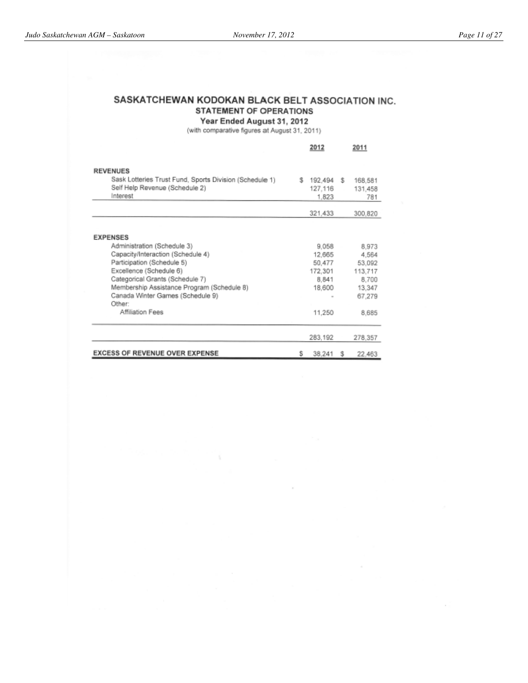# SASKATCHEWAN KODOKAN BLACK BELT ASSOCIATION INC. **STATEMENT OF OPERATIONS**

Year Ended August 31, 2012

(with comparative figures at August 31, 2011)

|                                                         |    | 2012       |   | 2011    |
|---------------------------------------------------------|----|------------|---|---------|
| <b>REVENUES</b>                                         |    |            |   |         |
| Sask Lotteries Trust Fund, Sports Division (Schedule 1) | s. | 192.494 \$ |   | 168,581 |
| Self Help Revenue (Schedule 2)                          |    | 127,116    |   | 131,458 |
| Interest                                                |    | 1,823      |   | 781     |
|                                                         |    |            |   |         |
|                                                         |    | 321,433    |   | 300,820 |
|                                                         |    |            |   |         |
| <b>EXPENSES</b>                                         |    |            |   |         |
| Administration (Schedule 3)                             |    | 9,058      |   | 8,973   |
| Capacity/Interaction (Schedule 4)                       |    | 12,665     |   | 4,564   |
| Participation (Schedule 5)                              |    | 50.477     |   | 53.092  |
| Excellence (Schedule 6)                                 |    | 172,301    |   | 113,717 |
| Categorical Grants (Schedule 7)                         |    | 8,841      |   | 8,700   |
| Membership Assistance Program (Schedule 8)              |    | 18,600     |   | 13,347  |
| Canada Winter Games (Schedule 9)                        |    |            |   | 67,279  |
| Other:                                                  |    |            |   |         |
| Affiliation Fees                                        |    | 11,250     |   | 8,685   |
|                                                         |    | 283,192    |   | 278,357 |
| <b>EXCESS OF REVENUE OVER EXPENSE</b>                   | s  | 38,241     | s | 22,463  |

 $\alpha$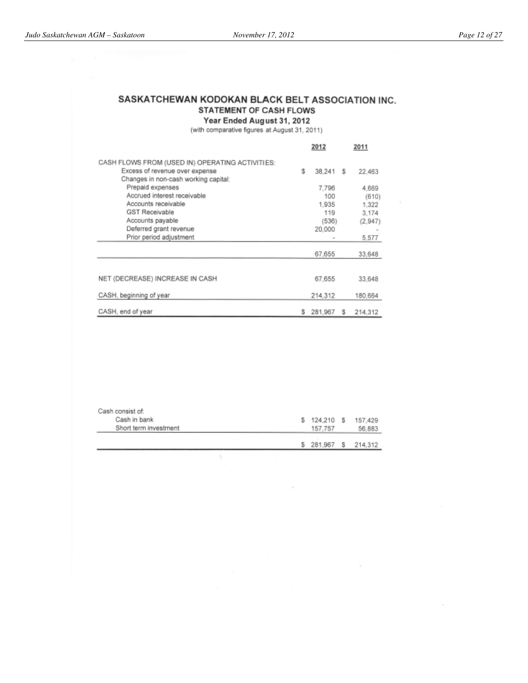# SASKATCHEWAN KODOKAN BLACK BELT ASSOCIATION INC. STATEMENT OF CASH FLOWS

Year Ended August 31, 2012

(with comparative figures at August 31, 2011)

|                                                 |   | 2012    |   | 2011    |
|-------------------------------------------------|---|---------|---|---------|
| CASH FLOWS FROM (USED IN) OPERATING ACTIVITIES: |   |         |   |         |
| Excess of revenue over expense                  | s | 38.241  | s | 22,463  |
| Changes in non-cash working capital:            |   |         |   |         |
| Prepaid expenses                                |   | 7.796   |   | 4.669   |
| Accrued interest receivable                     |   | 100     |   | (610)   |
| Accounts receivable                             |   | 1.935   |   | 1,322   |
| <b>GST Receivable</b>                           |   | 119     |   | 3,174   |
| Accounts payable                                |   | (536)   |   | (2,947) |
| Deferred grant revenue                          |   | 20,000  |   |         |
| Prior period adjustment                         |   |         |   | 5,577   |
|                                                 |   |         |   |         |
|                                                 |   | 67,655  |   | 33,648  |
|                                                 |   |         |   |         |
| NET (DECREASE) INCREASE IN CASH                 |   | 67,655  |   | 33,648  |
| CASH, beginning of year                         |   | 214,312 |   | 180.664 |
| CASH, end of year                               | s | 281.967 | s | 214,312 |

| Cash consist of:      |    |           |                   |
|-----------------------|----|-----------|-------------------|
| Cash in bank          | s. | 124.210 S | 157.429           |
| Short term investment |    | 157.757   | 56,883            |
|                       |    |           |                   |
|                       |    |           | 281,967 S 214,312 |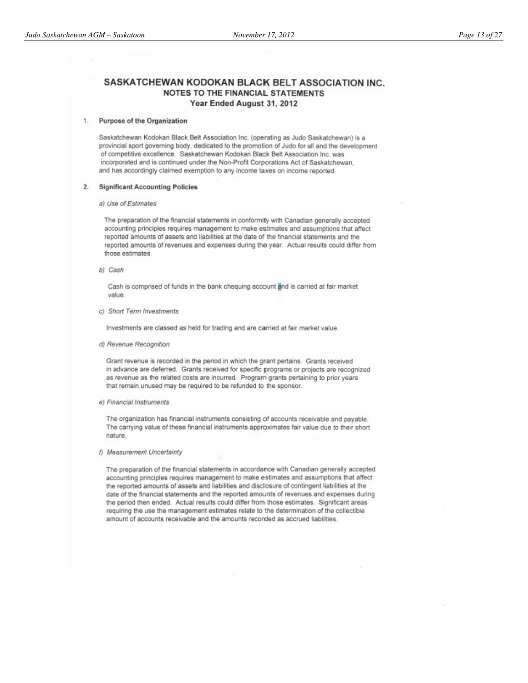# SASKATCHEWAN KODOKAN BLACK BELT ASSOCIATION INC. **NOTES TO THE FINANCIAL STATEMENTS** Year Ended August 31, 2012

## 1. Purpose of the Organization

Saskatchewan Kodokan Black Belt Association Inc. (operating as Judo Saskatchewan) is a provincial sport governing body, dedicated to the promotion of Judo for all and the development of competitive excellence. Saskatchewan Kodokan Black Belt Association Inc. was incorporated and is continued under the Non-Profit Corporations Act of Saskatchewan, and has accordingly claimed exemption to any income taxes on income reported.

### 2. Significant Accounting Policies

a) Use of Estimates

The preparation of the financial statements in conformity with Canadian generally accepted accounting principles requires management to make estimates and assumptions that affect reported amounts of assets and liabilities at the date of the financial statements and the reported amounts of revenues and expenses during the year. Actual results could differ from those estimates.

b) Cash

Cash is comprised of funds in the bank chequing account and is carried at fair market value.

c) Short Term Investments

Investments are classed as held for trading and are carried at fair market value.

d) Revenue Recognition

Grant revenue is recorded in the period in which the grant pertains. Grants received in advance are deferred. Grants received for specific programs or projects are recognized as revenue as the related costs are incurred. Program grants pertaining to prior years that remain unused may be required to be refunded to the sponsor.

e) Financial Instruments

The organization has financial instruments consisting of accounts receivable and payable. The carrying value of these financial instruments approximates fair value due to their short nature.

f) Measurement Uncertainty

The preparation of the financial statements in accordance with Canadian generally accepted accounting principles requires management to make estimates and assumptions that affect the reported amounts of assets and liabilities and disclosure of contingent liabilities at the date of the financial statements and the reported amounts of revenues and expenses during the period then ended. Actual results could differ from those estimates. Significant areas requiring the use the management estimates relate to the determination of the collectible amount of accounts receivable and the amounts recorded as accrued liabilities.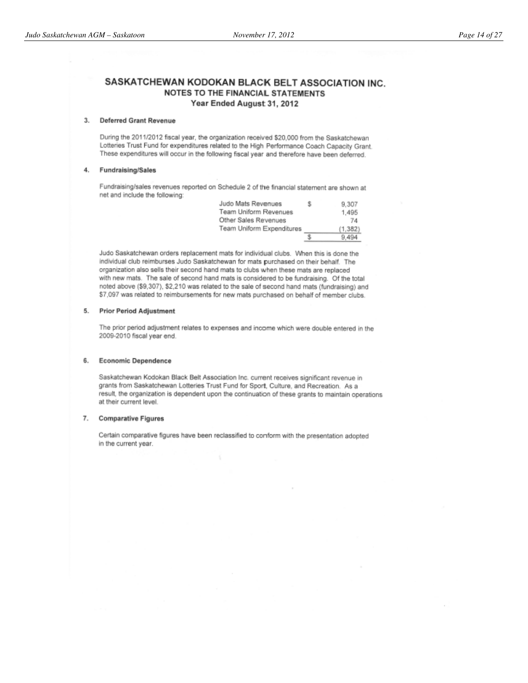# SASKATCHEWAN KODOKAN BLACK BELT ASSOCIATION INC. **NOTES TO THE FINANCIAL STATEMENTS** Year Ended August 31, 2012

#### 3. Deferred Grant Revenue

During the 2011/2012 fiscal year, the organization received \$20,000 from the Saskatchewan Lotteries Trust Fund for expenditures related to the High Performance Coach Capacity Grant. These expenditures will occur in the following fiscal year and therefore have been deferred.

#### **Fundraising/Sales** 4.

Fundraising/sales revenues reported on Schedule 2 of the financial statement are shown at net and include the following:

| Judo Mats Revenues        | s | 9.307    |
|---------------------------|---|----------|
| Team Uniform Revenues     |   | 1.495    |
| Other Sales Revenues      |   | 74       |
| Team Uniform Expenditures |   | (1, 382) |
|                           |   | 9.494    |
|                           |   |          |

Judo Saskatchewan orders replacement mats for individual clubs. When this is done the individual club reimburses Judo Saskatchewan for mats purchased on their behalf. The organization also sells their second hand mats to clubs when these mats are replaced with new mats. The sale of second hand mats is considered to be fundraising. Of the total noted above (\$9,307), \$2,210 was related to the sale of second hand mats (fundraising) and \$7,097 was related to reimbursements for new mats purchased on behalf of member clubs.

#### 5. **Prior Period Adjustment**

The prior period adjustment relates to expenses and income which were double entered in the 2009-2010 fiscal year end.

#### **Economic Dependence** 6.

Saskatchewan Kodokan Black Belt Association Inc. current receives significant revenue in grants from Saskatchewan Lotteries Trust Fund for Sport, Culture, and Recreation. As a result, the organization is dependent upon the continuation of these grants to maintain operations at their current level.

### 7. Comparative Figures

Certain comparative figures have been reclassified to conform with the presentation adopted in the current year.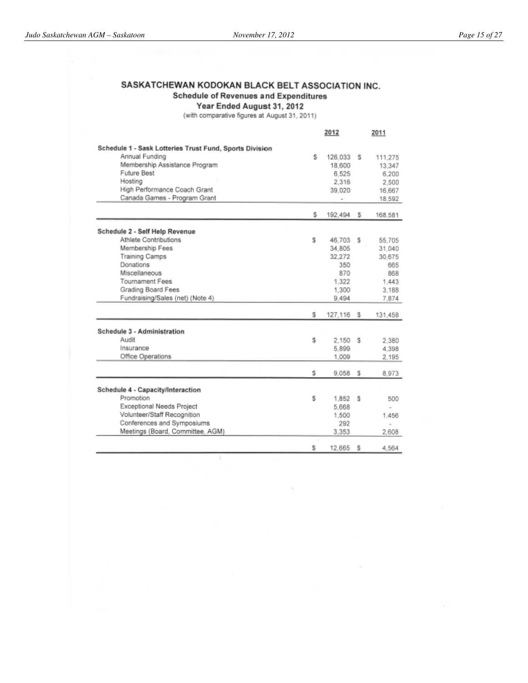# SASKATCHEWAN KODOKAN BLACK BELT ASSOCIATION INC. **Schedule of Revenues and Expenditures**

Year Ended August 31, 2012

(with comparative figures at August 31, 2011)

|                                                         |   | 2012           |   | 2011                     |
|---------------------------------------------------------|---|----------------|---|--------------------------|
| Schedule 1 - Sask Lotteries Trust Fund, Sports Division |   |                |   |                          |
| Annual Funding                                          | s | 126,033        | s | 111,275                  |
| Membership Assistance Program                           |   | 18,600         |   | 13,347                   |
| Future Best                                             |   | 6.525          |   | 6,200                    |
| Hosting                                                 |   | 2.316          |   | 2,500                    |
| High Performance Coach Grant                            |   | 39,020         |   | 16,667                   |
| Canada Games - Program Grant                            |   | $\overline{a}$ |   | 18,592                   |
|                                                         |   |                |   |                          |
|                                                         | s | 192,494        | s | 168,581                  |
| Schedule 2 - Self Help Revenue                          |   |                |   |                          |
| Athlete Contributions                                   | s | 46.703         | s | 55.705                   |
| Membership Fees                                         |   | 34.805         |   | 31,040                   |
| <b>Training Camps</b>                                   |   | 32,272         |   | 30,675                   |
| Donations                                               |   | 350            |   | 665                      |
| Miscellaneous                                           |   | 870            |   | 868                      |
| <b>Tournament Fees</b>                                  |   | 1,322          |   | 1.443                    |
| Grading Board Fees                                      |   | 1,300          |   | 3,188                    |
| Fundraising/Sales (net) (Note 4)                        |   | 9.494          |   | 7,874                    |
|                                                         |   |                |   |                          |
|                                                         | s | 127,116        | s | 131,458                  |
| Schedule 3 - Administration                             |   |                |   |                          |
| Audit                                                   | s | 2,150          | s | 2,380                    |
| Insurance                                               |   | 5.899          |   | 4,398                    |
| Office Operations                                       |   | 1,009          |   | 2,195                    |
|                                                         |   |                |   |                          |
|                                                         | s | 9,058          | s | 8,973                    |
| Schedule 4 - Capacity/Interaction                       |   |                |   |                          |
| Promotion                                               | s | 1,852          | s | 500                      |
| Exceptional Needs Project                               |   | 5,668          |   |                          |
| Volunteer/Staff Recognition                             |   | 1,500          |   | 1,456                    |
| Conferences and Symposiums                              |   | 292            |   | $\overline{\phantom{a}}$ |
| Meetings (Board, Committee, AGM)                        |   | 3.353          |   | 2,608                    |
|                                                         |   |                |   |                          |
|                                                         | s | 12,665         | s | 4.564                    |

 $\lambda$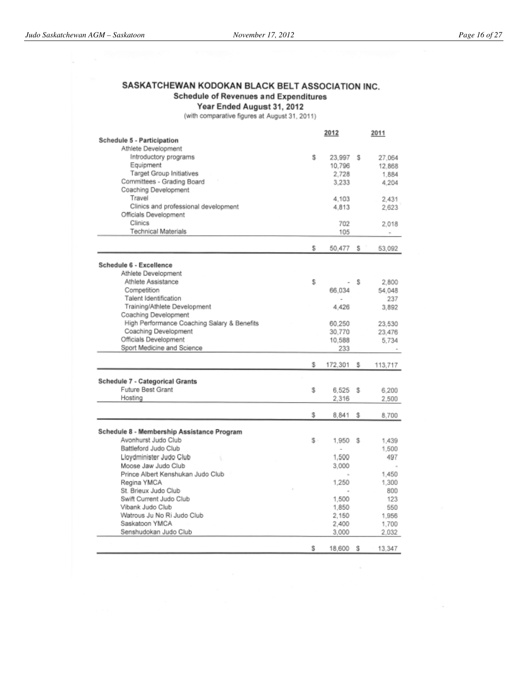# SASKATCHEWAN KODOKAN BLACK BELT ASSOCIATION INC. Schedule of Revenues and Expenditures

Year Ended August 31, 2012

(with comparative figures at August 31, 2011)

|                                             |      | 2012           |    | 2011    |
|---------------------------------------------|------|----------------|----|---------|
| Schedule 5 - Participation                  |      |                |    |         |
| Athlete Development                         |      |                |    |         |
| Introductory programs                       | s    | 23,997         | s  | 27.064  |
| Equipment                                   |      | 10,796         |    | 12,868  |
| Target Group Initiatives                    |      | 2,728          |    | 1.884   |
| Committees - Grading Board                  |      | 3,233          |    | 4.204   |
| Coaching Development                        |      |                |    |         |
| Travel                                      |      | 4.103          |    | 2.431   |
| Clinics and professional development        |      | 4,813          |    | 2,623   |
| Officials Development                       |      |                |    |         |
| Clinics                                     |      | 702            |    | 2,018   |
| <b>Technical Materials</b>                  |      | 105            |    |         |
|                                             | s    | 50,477         | s  | 53.092  |
| Schedule 6 - Excellence                     |      |                |    |         |
| Athlete Development                         |      |                |    |         |
| Athlete Assistance                          | \$   |                | s  | 2.800   |
| Competition                                 |      | 66,034         |    | 54,048  |
| Talent Identification                       |      |                |    | 237     |
| Training/Athlete Development                |      | 4.426          |    |         |
| Coaching Development                        |      |                |    | 3,892   |
| High Performance Coaching Salary & Benefits |      |                |    |         |
| Coaching Development                        |      | 60.250         |    | 23.530  |
| Officials Development                       |      | 30.770         |    | 23,476  |
|                                             |      | 10,588         |    | 5.734   |
| Sport Medicine and Science                  |      | 233            |    |         |
|                                             | \$   | 172,301        | \$ | 113,717 |
| <b>Schedule 7 - Categorical Grants</b>      |      |                |    |         |
| Future Best Grant                           | \$   | $6.525$ \$     |    | 6.200   |
| Hosting                                     |      | 2,316          |    | 2,500   |
|                                             |      |                |    |         |
|                                             | \$   | 8.841          | \$ | 8,700   |
| Schedule 8 - Membership Assistance Program  |      |                |    |         |
| Avonhurst Judo Club                         | $S-$ | 1,950          | s  | 1,439   |
| Battleford Judo Club                        |      | $\overline{a}$ |    | 1,500   |
| Lloydminister Judo Club                     |      | 1,500          |    | 497     |
| Moose Jaw Judo Club                         |      |                |    |         |
|                                             |      | 3.000          |    |         |
| Prince Albert Kenshukan Judo Club           |      |                |    | 1,450   |
| Regina YMCA                                 |      | 1,250          |    | 1,300   |
| St. Brieux Judo Club                        |      |                |    | 800     |
| Swift Current Judo Club                     |      | 1,500          |    | 123     |
| Vibank Judo Club                            |      | 1,850          |    | 550     |
| Watrous Ju No Ri Judo Club                  |      | 2,150          |    | 1,956   |
| Saskatoon YMCA                              |      | 2,400          |    | 1,700   |
| Senshudokan Judo Club                       |      | 3,000          |    | 2,032   |
|                                             | Ŝ    | 18,600         | s  | 13,347  |
|                                             |      |                |    |         |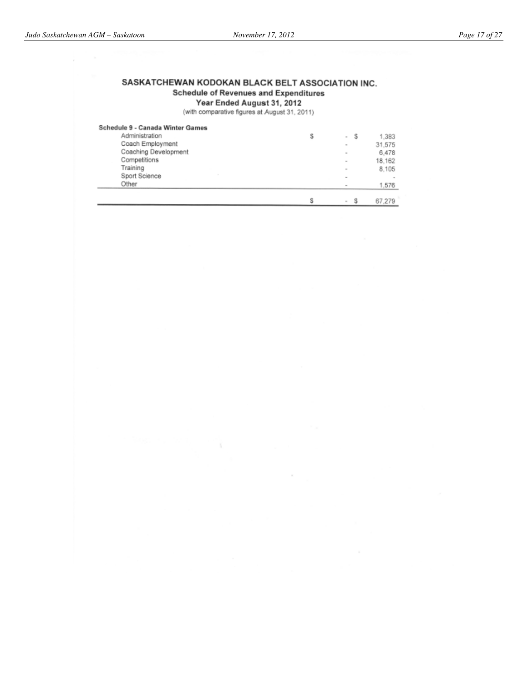# SASKATCHEWAN KODOKAN BLACK BELT ASSOCIATION INC. **Schedule of Revenues and Expenditures**

# Year Ended August 31, 2012

(with comparative figures at August 31, 2011)

|                                  |   | $\sim$                   | 67.279 |
|----------------------------------|---|--------------------------|--------|
| Other                            |   | $\sim$                   | 1,576  |
| Sport Science                    |   | $\sim$                   |        |
| Training                         |   | $\sim$                   | 8.105  |
| Competitions                     |   | $\overline{\phantom{a}}$ | 18,162 |
| Coaching Development             |   | $\sim$                   | 6.478  |
| Coach Employment                 |   | $\sim$                   | 31,575 |
| Administration                   | s | - 3<br>۰                 | 1,383  |
| Schedule 9 - Canada Winter Games |   |                          |        |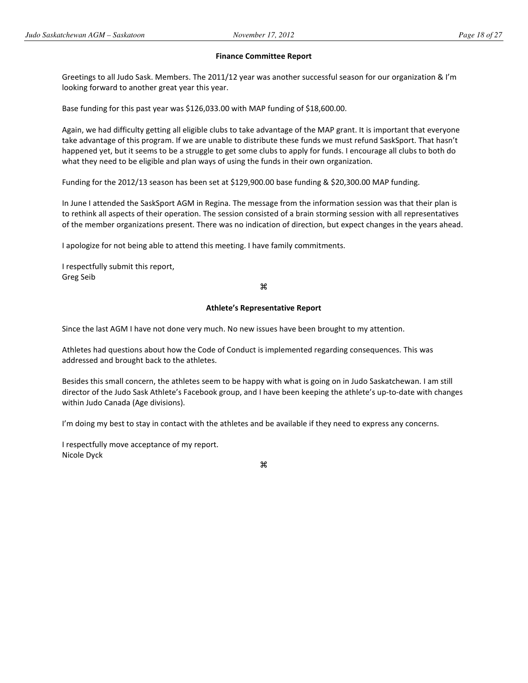# Finance Committee Report

Greetings to all Judo Sask. Members. The 2011/12 year was another successful season for our organization & I'm looking forward to another great year this year.

Base funding for this past year was \$126,033.00 with MAP funding of \$18,600.00.

Again, we had difficulty getting all eligible clubs to take advantage of the MAP grant. It is important that everyone take advantage of this program. If we are unable to distribute these funds we must refund SaskSport. That hasn't happened yet, but it seems to be a struggle to get some clubs to apply for funds. I encourage all clubs to both do what they need to be eligible and plan ways of using the funds in their own organization.

Funding for the 2012/13 season has been set at \$129,900.00 base funding & \$20,300.00 MAP funding.

In June I attended the SaskSport AGM in Regina. The message from the information session was that their plan is to rethink all aspects of their operation. The session consisted of a brain storming session with all representatives of the member organizations present. There was no indication of direction, but expect changes in the years ahead.

I apologize for not being able to attend this meeting. I have family commitments.

I respectfully submit this report, Greg Seib

# æ

# Athlete's Representative Report

Since the last AGM I have not done very much. No new issues have been brought to my attention.

Athletes had questions about how the Code of Conduct is implemented regarding consequences. This was addressed and brought back to the athletes.

Besides this small concern, the athletes seem to be happy with what is going on in Judo Saskatchewan. I am still director of the Judo Sask Athlete's Facebook group, and I have been keeping the athlete's up-to-date with changes within Judo Canada (Age divisions).

I'm doing my best to stay in contact with the athletes and be available if they need to express any concerns.

I respectfully move acceptance of my report. Nicole Dyck

æ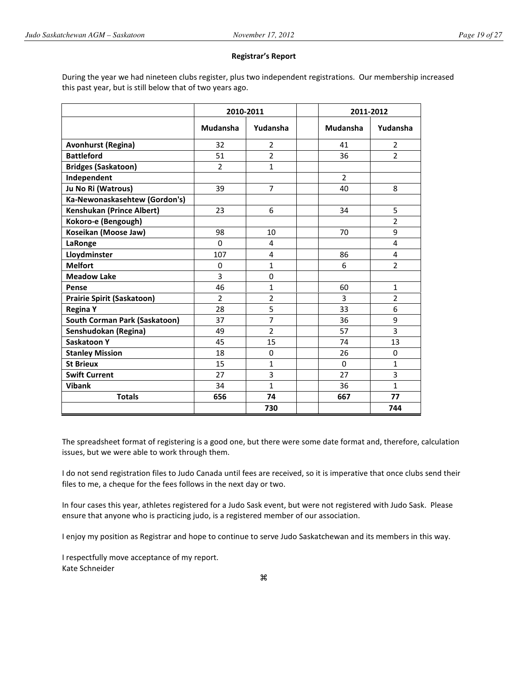# Registrar's Report

During the year we had nineteen clubs register, plus two independent registrations. Our membership increased this past year, but is still below that of two years ago.

|                                      | 2010-2011      |                | 2011-2012      |                |
|--------------------------------------|----------------|----------------|----------------|----------------|
|                                      | Mudansha       | Yudansha       | Mudansha       | Yudansha       |
| <b>Avonhurst (Regina)</b>            | 32             | 2              | 41             | $\overline{2}$ |
| <b>Battleford</b>                    | 51             | $\overline{2}$ | 36             | $\overline{2}$ |
| <b>Bridges (Saskatoon)</b>           | $\overline{2}$ | $\mathbf{1}$   |                |                |
| Independent                          |                |                | $\overline{2}$ |                |
| Ju No Ri (Watrous)                   | 39             | $\overline{7}$ | 40             | 8              |
| Ka-Newonaskasehtew (Gordon's)        |                |                |                |                |
| <b>Kenshukan (Prince Albert)</b>     | 23             | 6              | 34             | 5              |
| Kokoro-e (Bengough)                  |                |                |                | $\overline{2}$ |
| Koseikan (Moose Jaw)                 | 98             | 10             | 70             | 9              |
| LaRonge                              | $\Omega$       | 4              |                | 4              |
| Lloydminster                         | 107            | 4              | 86             | 4              |
| <b>Melfort</b>                       | 0              | $\mathbf{1}$   | 6              | $\overline{2}$ |
| <b>Meadow Lake</b>                   | 3              | 0              |                |                |
| Pense                                | 46             | $\mathbf{1}$   | 60             | $\mathbf{1}$   |
| <b>Prairie Spirit (Saskatoon)</b>    | $\overline{2}$ | $\overline{2}$ | 3              | $\overline{2}$ |
| <b>Regina Y</b>                      | 28             | 5              | 33             | 6              |
| <b>South Corman Park (Saskatoon)</b> | 37             | $\overline{7}$ | 36             | 9              |
| Senshudokan (Regina)                 | 49             | $\overline{2}$ | 57             | 3              |
| Saskatoon Y                          | 45             | 15             | 74             | 13             |
| <b>Stanley Mission</b>               | 18             | 0              | 26             | $\mathbf 0$    |
| <b>St Brieux</b>                     | 15             | $\mathbf{1}$   | $\Omega$       | $\mathbf{1}$   |
| <b>Swift Current</b>                 | 27             | 3              | 27             | 3              |
| <b>Vibank</b>                        | 34             | 1              | 36             | $\mathbf{1}$   |
| <b>Totals</b>                        | 656            | 74             | 667            | 77             |
|                                      |                | 730            |                | 744            |

The spreadsheet format of registering is a good one, but there were some date format and, therefore, calculation issues, but we were able to work through them.

I do not send registration files to Judo Canada until fees are received, so it is imperative that once clubs send their files to me, a cheque for the fees follows in the next day or two.

In four cases this year, athletes registered for a Judo Sask event, but were not registered with Judo Sask. Please ensure that anyone who is practicing judo, is a registered member of our association.

I enjoy my position as Registrar and hope to continue to serve Judo Saskatchewan and its members in this way.

I respectfully move acceptance of my report. Kate Schneider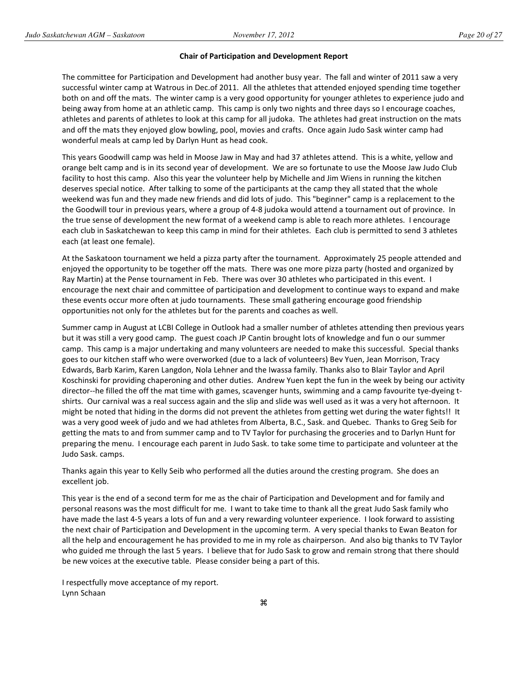## Chair of Participation and Development Report

The committee for Participation and Development had another busy year. The fall and winter of 2011 saw a very successful winter camp at Watrous in Dec.of 2011. All the athletes that attended enjoyed spending time together both on and off the mats. The winter camp is a very good opportunity for younger athletes to experience judo and being away from home at an athletic camp. This camp is only two nights and three days so I encourage coaches, athletes and parents of athletes to look at this camp for all judoka. The athletes had great instruction on the mats and off the mats they enjoyed glow bowling, pool, movies and crafts. Once again Judo Sask winter camp had wonderful meals at camp led by Darlyn Hunt as head cook.

This years Goodwill camp was held in Moose Jaw in May and had 37 athletes attend. This is a white, yellow and orange belt camp and is in its second year of development. We are so fortunate to use the Moose Jaw Judo Club facility to host this camp. Also this year the volunteer help by Michelle and Jim Wiens in running the kitchen deserves special notice. After talking to some of the participants at the camp they all stated that the whole weekend was fun and they made new friends and did lots of judo. This "beginner" camp is a replacement to the the Goodwill tour in previous years, where a group of 4-8 judoka would attend a tournament out of province. In the true sense of development the new format of a weekend camp is able to reach more athletes. I encourage each club in Saskatchewan to keep this camp in mind for their athletes. Each club is permitted to send 3 athletes each (at least one female).

At the Saskatoon tournament we held a pizza party after the tournament. Approximately 25 people attended and enjoyed the opportunity to be together off the mats. There was one more pizza party (hosted and organized by Ray Martin) at the Pense tournament in Feb. There was over 30 athletes who participated in this event. I encourage the next chair and committee of participation and development to continue ways to expand and make these events occur more often at judo tournaments. These small gathering encourage good friendship opportunities not only for the athletes but for the parents and coaches as well.

Summer camp in August at LCBI College in Outlook had a smaller number of athletes attending then previous years but it was still a very good camp. The guest coach JP Cantin brought lots of knowledge and fun o our summer camp. This camp is a major undertaking and many volunteers are needed to make this successful. Special thanks goes to our kitchen staff who were overworked (due to a lack of volunteers) Bev Yuen, Jean Morrison, Tracy Edwards, Barb Karim, Karen Langdon, Nola Lehner and the Iwassa family. Thanks also to Blair Taylor and April Koschinski for providing chaperoning and other duties. Andrew Yuen kept the fun in the week by being our activity director--he filled the off the mat time with games, scavenger hunts, swimming and a camp favourite tye-dyeing tshirts. Our carnival was a real success again and the slip and slide was well used as it was a very hot afternoon. It might be noted that hiding in the dorms did not prevent the athletes from getting wet during the water fights!! It was a very good week of judo and we had athletes from Alberta, B.C., Sask. and Quebec. Thanks to Greg Seib for getting the mats to and from summer camp and to TV Taylor for purchasing the groceries and to Darlyn Hunt for preparing the menu. I encourage each parent in Judo Sask. to take some time to participate and volunteer at the Judo Sask. camps.

Thanks again this year to Kelly Seib who performed all the duties around the cresting program. She does an excellent job.

This year is the end of a second term for me as the chair of Participation and Development and for family and personal reasons was the most difficult for me. I want to take time to thank all the great Judo Sask family who have made the last 4-5 years a lots of fun and a very rewarding volunteer experience. I look forward to assisting the next chair of Participation and Development in the upcoming term. A very special thanks to Ewan Beaton for all the help and encouragement he has provided to me in my role as chairperson. And also big thanks to TV Taylor who guided me through the last 5 years. I believe that for Judo Sask to grow and remain strong that there should be new voices at the executive table. Please consider being a part of this.

I respectfully move acceptance of my report. Lynn Schaan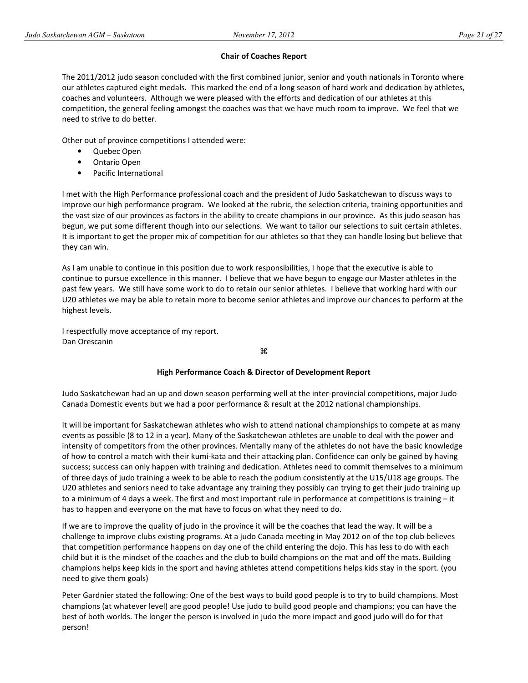# Chair of Coaches Report

The 2011/2012 judo season concluded with the first combined junior, senior and youth nationals in Toronto where our athletes captured eight medals. This marked the end of a long season of hard work and dedication by athletes, coaches and volunteers. Although we were pleased with the efforts and dedication of our athletes at this competition, the general feeling amongst the coaches was that we have much room to improve. We feel that we need to strive to do better.

Other out of province competitions I attended were:

- Quebec Open
- Ontario Open
- Pacific International

I met with the High Performance professional coach and the president of Judo Saskatchewan to discuss ways to improve our high performance program. We looked at the rubric, the selection criteria, training opportunities and the vast size of our provinces as factors in the ability to create champions in our province. As this judo season has begun, we put some different though into our selections. We want to tailor our selections to suit certain athletes. It is important to get the proper mix of competition for our athletes so that they can handle losing but believe that they can win.

As I am unable to continue in this position due to work responsibilities, I hope that the executive is able to continue to pursue excellence in this manner. I believe that we have begun to engage our Master athletes in the past few years. We still have some work to do to retain our senior athletes. I believe that working hard with our U20 athletes we may be able to retain more to become senior athletes and improve our chances to perform at the highest levels.

I respectfully move acceptance of my report. Dan Orescanin

æ

# High Performance Coach & Director of Development Report

Judo Saskatchewan had an up and down season performing well at the inter-provincial competitions, major Judo Canada Domestic events but we had a poor performance & result at the 2012 national championships.

It will be important for Saskatchewan athletes who wish to attend national championships to compete at as many events as possible (8 to 12 in a year). Many of the Saskatchewan athletes are unable to deal with the power and intensity of competitors from the other provinces. Mentally many of the athletes do not have the basic knowledge of how to control a match with their kumi-kata and their attacking plan. Confidence can only be gained by having success; success can only happen with training and dedication. Athletes need to commit themselves to a minimum of three days of judo training a week to be able to reach the podium consistently at the U15/U18 age groups. The U20 athletes and seniors need to take advantage any training they possibly can trying to get their judo training up to a minimum of 4 days a week. The first and most important rule in performance at competitions is training – it has to happen and everyone on the mat have to focus on what they need to do.

If we are to improve the quality of judo in the province it will be the coaches that lead the way. It will be a challenge to improve clubs existing programs. At a judo Canada meeting in May 2012 on of the top club believes that competition performance happens on day one of the child entering the dojo. This has less to do with each child but it is the mindset of the coaches and the club to build champions on the mat and off the mats. Building champions helps keep kids in the sport and having athletes attend competitions helps kids stay in the sport. (you need to give them goals)

Peter Gardnier stated the following: One of the best ways to build good people is to try to build champions. Most champions (at whatever level) are good people! Use judo to build good people and champions; you can have the best of both worlds. The longer the person is involved in judo the more impact and good judo will do for that person!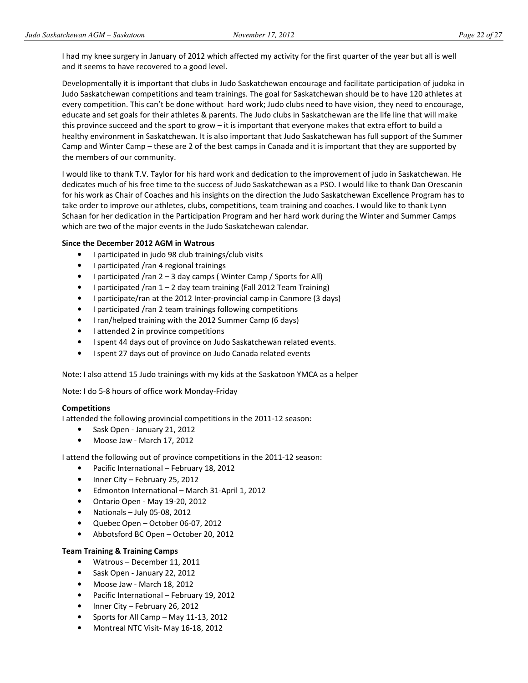I had my knee surgery in January of 2012 which affected my activity for the first quarter of the year but all is well and it seems to have recovered to a good level.

Developmentally it is important that clubs in Judo Saskatchewan encourage and facilitate participation of judoka in Judo Saskatchewan competitions and team trainings. The goal for Saskatchewan should be to have 120 athletes at every competition. This can't be done without hard work; Judo clubs need to have vision, they need to encourage, educate and set goals for their athletes & parents. The Judo clubs in Saskatchewan are the life line that will make this province succeed and the sport to grow – it is important that everyone makes that extra effort to build a healthy environment in Saskatchewan. It is also important that Judo Saskatchewan has full support of the Summer Camp and Winter Camp – these are 2 of the best camps in Canada and it is important that they are supported by the members of our community.

I would like to thank T.V. Taylor for his hard work and dedication to the improvement of judo in Saskatchewan. He dedicates much of his free time to the success of Judo Saskatchewan as a PSO. I would like to thank Dan Orescanin for his work as Chair of Coaches and his insights on the direction the Judo Saskatchewan Excellence Program has to take order to improve our athletes, clubs, competitions, team training and coaches. I would like to thank Lynn Schaan for her dedication in the Participation Program and her hard work during the Winter and Summer Camps which are two of the major events in the Judo Saskatchewan calendar.

# Since the December 2012 AGM in Watrous

- I participated in judo 98 club trainings/club visits
- I participated /ran 4 regional trainings
- I participated /ran  $2 3$  day camps (Winter Camp / Sports for All)
- I participated /ran 1 2 day team training (Fall 2012 Team Training)
- I participate/ran at the 2012 Inter-provincial camp in Canmore (3 days)
- I participated /ran 2 team trainings following competitions
- I ran/helped training with the 2012 Summer Camp (6 days)
- I attended 2 in province competitions
- I spent 44 days out of province on Judo Saskatchewan related events.
- I spent 27 days out of province on Judo Canada related events

Note: I also attend 15 Judo trainings with my kids at the Saskatoon YMCA as a helper

Note: I do 5-8 hours of office work Monday-Friday

# Competitions

I attended the following provincial competitions in the 2011-12 season:

- Sask Open January 21, 2012
- Moose Jaw March 17, 2012

I attend the following out of province competitions in the 2011-12 season:

- Pacific International February 18, 2012
- Inner City February 25, 2012
- Edmonton International March 31-April 1, 2012
- Ontario Open May 19-20, 2012
- Nationals July 05-08, 2012
- Quebec Open October 06-07, 2012
- Abbotsford BC Open October 20, 2012

# Team Training & Training Camps

- Watrous December 11, 2011
- Sask Open January 22, 2012
- Moose Jaw March 18, 2012
- Pacific International February 19, 2012
- Inner City February 26, 2012
- Sports for All Camp May 11-13, 2012
- Montreal NTC Visit- May 16-18, 2012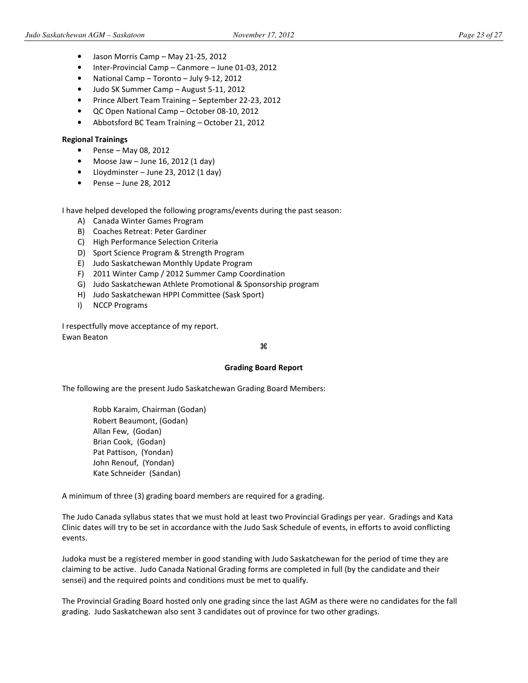- Jason Morris Camp May 21-25, 2012
- Inter-Provincial Camp Canmore June 01-03, 2012
- National Camp Toronto July 9-12, 2012
- Judo SK Summer Camp August 5-11, 2012
- Prince Albert Team Training September 22-23, 2012
- QC Open National Camp October 08-10, 2012
- Abbotsford BC Team Training October 21, 2012

# Regional Trainings

- Pense May 08, 2012
- Moose Jaw June 16, 2012 (1 day)
- Lloydminster June 23, 2012 (1 day)
- $\bullet$  Pense June 28, 2012

I have helped developed the following programs/events during the past season:

- A) Canada Winter Games Program
- B) Coaches Retreat: Peter Gardiner
- C) High Performance Selection Criteria
- D) Sport Science Program & Strength Program
- E) Judo Saskatchewan Monthly Update Program
- F) 2011 Winter Camp / 2012 Summer Camp Coordination
- G) Judo Saskatchewan Athlete Promotional & Sponsorship program
- H) Judo Saskatchewan HPPI Committee (Sask Sport)
- I) NCCP Programs

I respectfully move acceptance of my report. Ewan Beaton

# æ

# Grading Board Report

The following are the present Judo Saskatchewan Grading Board Members:

Robb Karaim, Chairman (Godan) Robert Beaumont, (Godan) Allan Few, (Godan) Brian Cook, (Godan) Pat Pattison, (Yondan) John Renouf, (Yondan) Kate Schneider (Sandan)

A minimum of three (3) grading board members are required for a grading.

The Judo Canada syllabus states that we must hold at least two Provincial Gradings per year. Gradings and Kata Clinic dates will try to be set in accordance with the Judo Sask Schedule of events, in efforts to avoid conflicting events.

Judoka must be a registered member in good standing with Judo Saskatchewan for the period of time they are claiming to be active. Judo Canada National Grading forms are completed in full (by the candidate and their sensei) and the required points and conditions must be met to qualify.

The Provincial Grading Board hosted only one grading since the last AGM as there were no candidates for the fall grading. Judo Saskatchewan also sent 3 candidates out of province for two other gradings.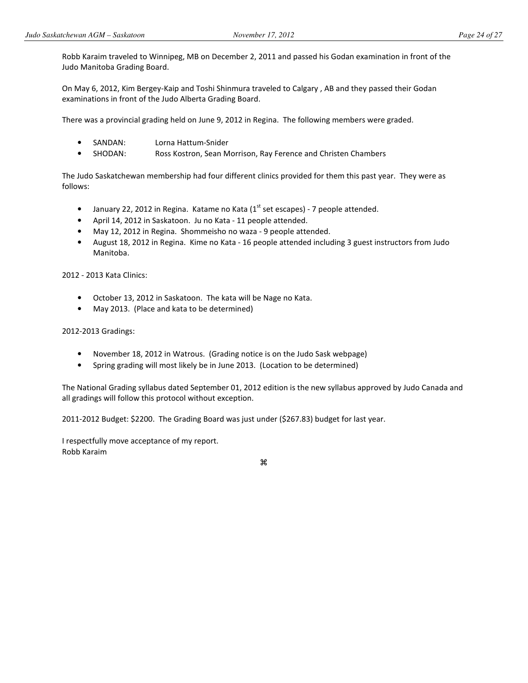Robb Karaim traveled to Winnipeg, MB on December 2, 2011 and passed his Godan examination in front of the Judo Manitoba Grading Board.

On May 6, 2012, Kim Bergey-Kaip and Toshi Shinmura traveled to Calgary , AB and they passed their Godan examinations in front of the Judo Alberta Grading Board.

There was a provincial grading held on June 9, 2012 in Regina. The following members were graded.

- SANDAN: Lorna Hattum-Snider
- SHODAN: Ross Kostron, Sean Morrison, Ray Ference and Christen Chambers

The Judo Saskatchewan membership had four different clinics provided for them this past year. They were as follows:

- January 22, 2012 in Regina. Katame no Kata  $(1<sup>st</sup>$  set escapes) 7 people attended.
- April 14, 2012 in Saskatoon. Ju no Kata 11 people attended.
- May 12, 2012 in Regina. Shommeisho no waza 9 people attended.
- August 18, 2012 in Regina. Kime no Kata 16 people attended including 3 guest instructors from Judo Manitoba.

2012 - 2013 Kata Clinics:

- October 13, 2012 in Saskatoon. The kata will be Nage no Kata.
- May 2013. (Place and kata to be determined)

2012-2013 Gradings:

- November 18, 2012 in Watrous. (Grading notice is on the Judo Sask webpage)
- Spring grading will most likely be in June 2013. (Location to be determined)

The National Grading syllabus dated September 01, 2012 edition is the new syllabus approved by Judo Canada and all gradings will follow this protocol without exception.

2011-2012 Budget: \$2200. The Grading Board was just under (\$267.83) budget for last year.

I respectfully move acceptance of my report. Robb Karaim

æ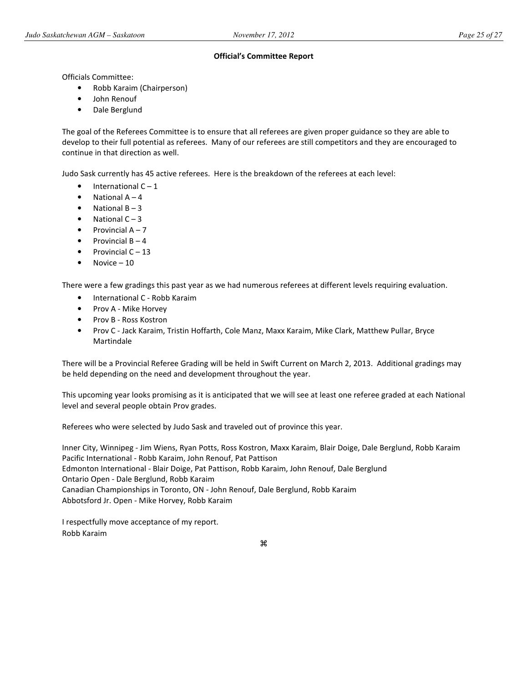# Official's Committee Report

Officials Committee:

- Robb Karaim (Chairperson)
- John Renouf
- Dale Berglund

The goal of the Referees Committee is to ensure that all referees are given proper guidance so they are able to develop to their full potential as referees. Many of our referees are still competitors and they are encouraged to continue in that direction as well.

Judo Sask currently has 45 active referees. Here is the breakdown of the referees at each level:

- $\bullet$  International  $C 1$
- National  $A 4$
- National  $B 3$
- National  $C 3$
- Provincial  $A 7$
- Provincial  $B 4$
- Provincial  $C 13$
- Novice  $-10$

There were a few gradings this past year as we had numerous referees at different levels requiring evaluation.

- International C Robb Karaim
- Prov A Mike Horvey
- Prov B Ross Kostron
- Prov C Jack Karaim, Tristin Hoffarth, Cole Manz, Maxx Karaim, Mike Clark, Matthew Pullar, Bryce Martindale

There will be a Provincial Referee Grading will be held in Swift Current on March 2, 2013. Additional gradings may be held depending on the need and development throughout the year.

This upcoming year looks promising as it is anticipated that we will see at least one referee graded at each National level and several people obtain Prov grades.

Referees who were selected by Judo Sask and traveled out of province this year.

Inner City, Winnipeg - Jim Wiens, Ryan Potts, Ross Kostron, Maxx Karaim, Blair Doige, Dale Berglund, Robb Karaim Pacific International - Robb Karaim, John Renouf, Pat Pattison Edmonton International - Blair Doige, Pat Pattison, Robb Karaim, John Renouf, Dale Berglund Ontario Open - Dale Berglund, Robb Karaim Canadian Championships in Toronto, ON - John Renouf, Dale Berglund, Robb Karaim Abbotsford Jr. Open - Mike Horvey, Robb Karaim

I respectfully move acceptance of my report. Robb Karaim

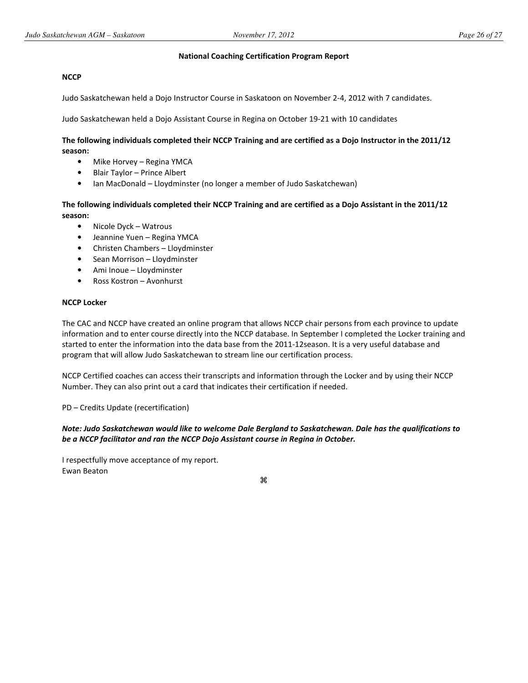# National Coaching Certification Program Report

# **NCCP**

Judo Saskatchewan held a Dojo Instructor Course in Saskatoon on November 2-4, 2012 with 7 candidates.

Judo Saskatchewan held a Dojo Assistant Course in Regina on October 19-21 with 10 candidates

# The following individuals completed their NCCP Training and are certified as a Dojo Instructor in the 2011/12 season:

- Mike Horvey Regina YMCA
- Blair Taylor Prince Albert
- Ian MacDonald Lloydminster (no longer a member of Judo Saskatchewan)

# The following individuals completed their NCCP Training and are certified as a Dojo Assistant in the 2011/12 season:

- Nicole Dyck Watrous
- Jeannine Yuen Regina YMCA
- Christen Chambers Lloydminster
- Sean Morrison Lloydminster
- Ami Inoue Lloydminster
- Ross Kostron Avonhurst

## NCCP Locker

The CAC and NCCP have created an online program that allows NCCP chair persons from each province to update information and to enter course directly into the NCCP database. In September I completed the Locker training and started to enter the information into the data base from the 2011-12season. It is a very useful database and program that will allow Judo Saskatchewan to stream line our certification process.

NCCP Certified coaches can access their transcripts and information through the Locker and by using their NCCP Number. They can also print out a card that indicates their certification if needed.

PD – Credits Update (recertification)

# Note: Judo Saskatchewan would like to welcome Dale Bergland to Saskatchewan. Dale has the qualifications to be a NCCP facilitator and ran the NCCP Dojo Assistant course in Regina in October.

I respectfully move acceptance of my report. Ewan Beaton